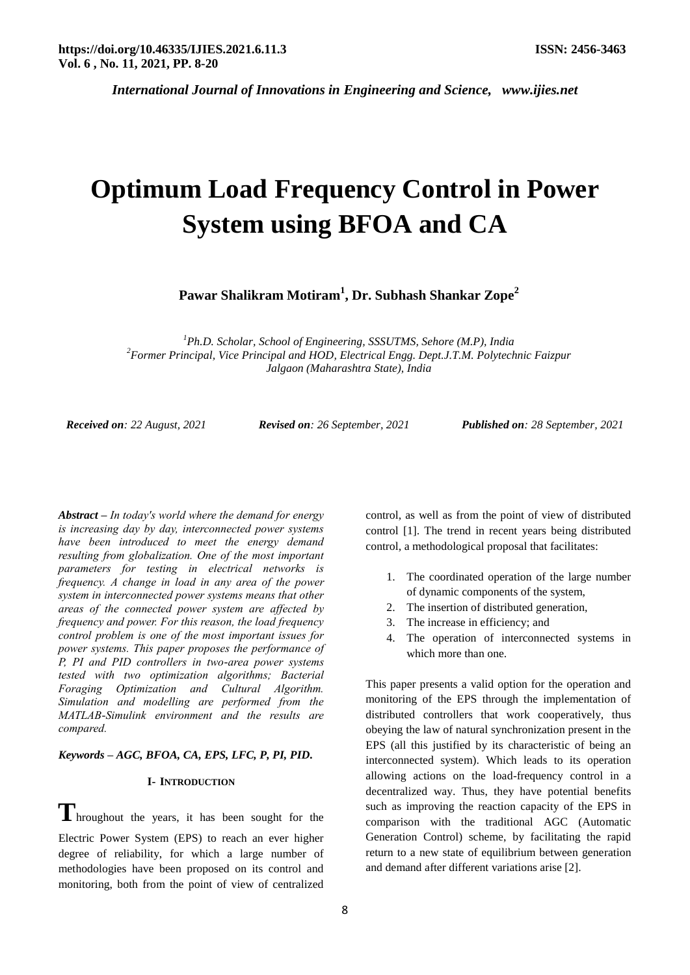# **Optimum Load Frequency Control in Power System using BFOA and CA**

**Pawar Shalikram Motiram<sup>1</sup> , Dr. Subhash Shankar Zope<sup>2</sup>**

*<sup>1</sup>Ph.D. Scholar, School of Engineering, SSSUTMS, Sehore (M.P), India <sup>2</sup>Former Principal, Vice Principal and HOD, Electrical Engg. Dept.J.T.M. Polytechnic Faizpur Jalgaon (Maharashtra State), India*

*Received on: 22 August, 2021 Revised on: 26 September, 2021 Published on: 28 September, 2021*

*Abstract* **–** *In today's world where the demand for energy is increasing day by day, interconnected power systems have been introduced to meet the energy demand resulting from globalization. One of the most important parameters for testing in electrical networks is frequency. A change in load in any area of the power system in interconnected power systems means that other areas of the connected power system are affected by frequency and power. For this reason, the load frequency control problem is one of the most important issues for power systems. This paper proposes the performance of P, PI and PID controllers in two-area power systems tested with two optimization algorithms; Bacterial Foraging Optimization and Cultural Algorithm. Simulation and modelling are performed from the MATLAB-Simulink environment and the results are compared.*

## *Keywords* **–** *AGC, BFOA, CA, EPS, LFC, P, PI, PID.*

## **I- INTRODUCTION**

**T**hroughout the years, it has been sought for the Electric Power System (EPS) to reach an ever higher degree of reliability, for which a large number of methodologies have been proposed on its control and monitoring, both from the point of view of centralized control, as well as from the point of view of distributed control [1]. The trend in recent years being distributed control, a methodological proposal that facilitates:

- 1. The coordinated operation of the large number of dynamic components of the system,
- 2. The insertion of distributed generation,
- 3. The increase in efficiency; and
- 4. The operation of interconnected systems in which more than one.

This paper presents a valid option for the operation and monitoring of the EPS through the implementation of distributed controllers that work cooperatively, thus obeying the law of natural synchronization present in the EPS (all this justified by its characteristic of being an interconnected system). Which leads to its operation allowing actions on the load-frequency control in a decentralized way. Thus, they have potential benefits such as improving the reaction capacity of the EPS in comparison with the traditional AGC (Automatic Generation Control) scheme, by facilitating the rapid return to a new state of equilibrium between generation and demand after different variations arise [2].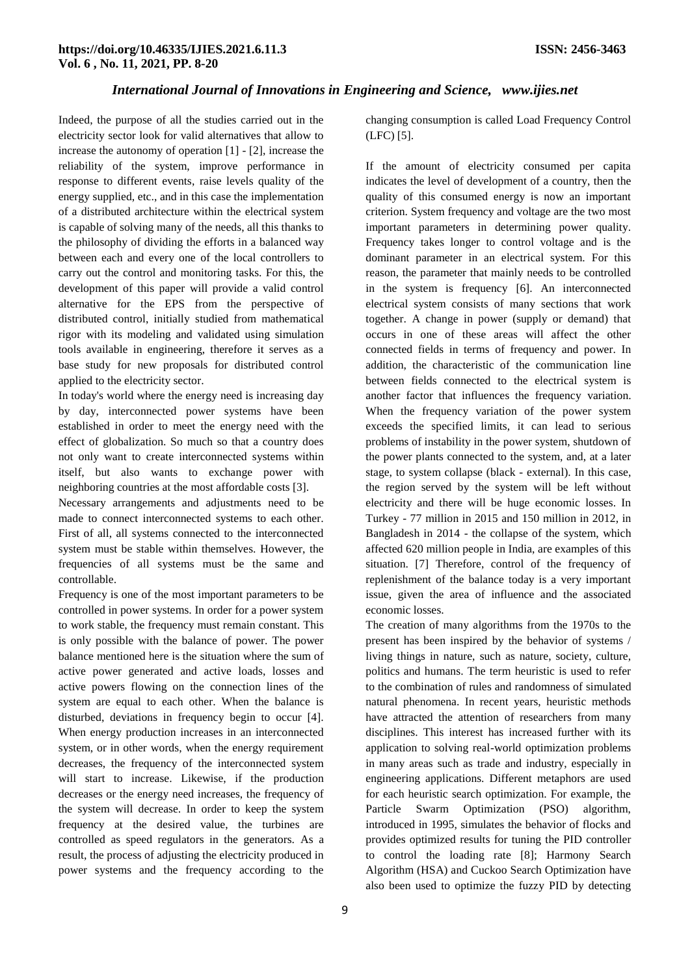Indeed, the purpose of all the studies carried out in the electricity sector look for valid alternatives that allow to increase the autonomy of operation [1] - [2], increase the reliability of the system, improve performance in response to different events, raise levels quality of the energy supplied, etc., and in this case the implementation of a distributed architecture within the electrical system is capable of solving many of the needs, all this thanks to the philosophy of dividing the efforts in a balanced way between each and every one of the local controllers to carry out the control and monitoring tasks. For this, the development of this paper will provide a valid control alternative for the EPS from the perspective of distributed control, initially studied from mathematical rigor with its modeling and validated using simulation tools available in engineering, therefore it serves as a base study for new proposals for distributed control applied to the electricity sector.

In today's world where the energy need is increasing day by day, interconnected power systems have been established in order to meet the energy need with the effect of globalization. So much so that a country does not only want to create interconnected systems within itself, but also wants to exchange power with neighboring countries at the most affordable costs [3].

Necessary arrangements and adjustments need to be made to connect interconnected systems to each other. First of all, all systems connected to the interconnected system must be stable within themselves. However, the frequencies of all systems must be the same and controllable.

Frequency is one of the most important parameters to be controlled in power systems. In order for a power system to work stable, the frequency must remain constant. This is only possible with the balance of power. The power balance mentioned here is the situation where the sum of active power generated and active loads, losses and active powers flowing on the connection lines of the system are equal to each other. When the balance is disturbed, deviations in frequency begin to occur [4]. When energy production increases in an interconnected system, or in other words, when the energy requirement decreases, the frequency of the interconnected system will start to increase. Likewise, if the production decreases or the energy need increases, the frequency of the system will decrease. In order to keep the system frequency at the desired value, the turbines are controlled as speed regulators in the generators. As a result, the process of adjusting the electricity produced in power systems and the frequency according to the changing consumption is called Load Frequency Control (LFC) [5].

If the amount of electricity consumed per capita indicates the level of development of a country, then the quality of this consumed energy is now an important criterion. System frequency and voltage are the two most important parameters in determining power quality. Frequency takes longer to control voltage and is the dominant parameter in an electrical system. For this reason, the parameter that mainly needs to be controlled in the system is frequency [6]. An interconnected electrical system consists of many sections that work together. A change in power (supply or demand) that occurs in one of these areas will affect the other connected fields in terms of frequency and power. In addition, the characteristic of the communication line between fields connected to the electrical system is another factor that influences the frequency variation. When the frequency variation of the power system exceeds the specified limits, it can lead to serious problems of instability in the power system, shutdown of the power plants connected to the system, and, at a later stage, to system collapse (black - external). In this case, the region served by the system will be left without electricity and there will be huge economic losses. In Turkey - 77 million in 2015 and 150 million in 2012, in Bangladesh in 2014 - the collapse of the system, which affected 620 million people in India, are examples of this situation. [7] Therefore, control of the frequency of replenishment of the balance today is a very important issue, given the area of influence and the associated economic losses.

The creation of many algorithms from the 1970s to the present has been inspired by the behavior of systems / living things in nature, such as nature, society, culture, politics and humans. The term heuristic is used to refer to the combination of rules and randomness of simulated natural phenomena. In recent years, heuristic methods have attracted the attention of researchers from many disciplines. This interest has increased further with its application to solving real-world optimization problems in many areas such as trade and industry, especially in engineering applications. Different metaphors are used for each heuristic search optimization. For example, the Particle Swarm Optimization (PSO) algorithm, introduced in 1995, simulates the behavior of flocks and provides optimized results for tuning the PID controller to control the loading rate [8]; Harmony Search Algorithm (HSA) and Cuckoo Search Optimization have also been used to optimize the fuzzy PID by detecting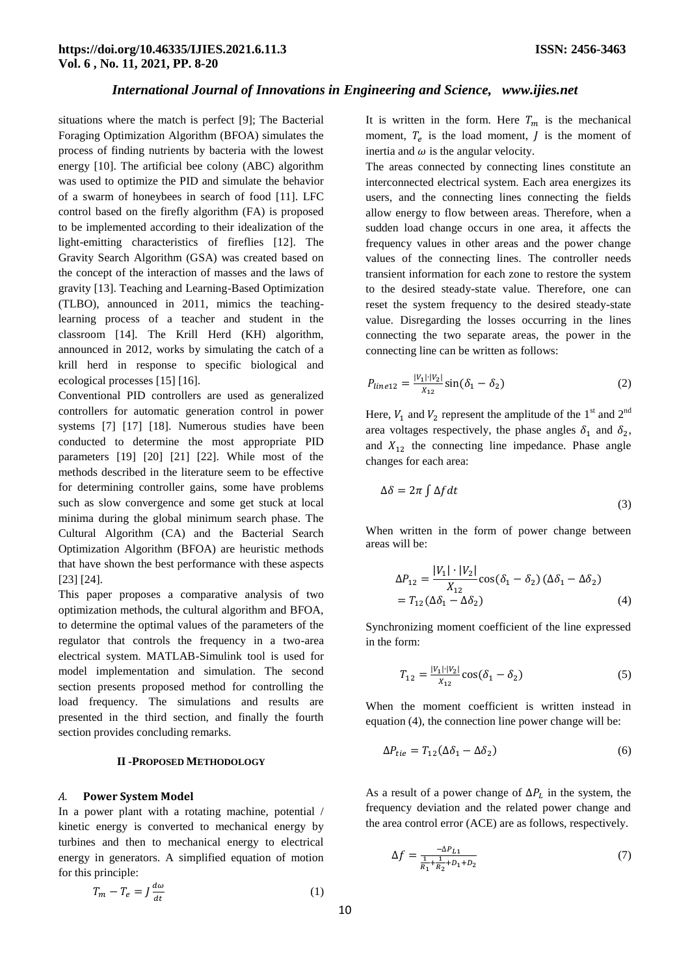situations where the match is perfect [9]; The Bacterial Foraging Optimization Algorithm (BFOA) simulates the process of finding nutrients by bacteria with the lowest energy [10]. The artificial bee colony (ABC) algorithm was used to optimize the PID and simulate the behavior of a swarm of honeybees in search of food [11]. LFC control based on the firefly algorithm (FA) is proposed to be implemented according to their idealization of the light-emitting characteristics of fireflies [12]. The Gravity Search Algorithm (GSA) was created based on the concept of the interaction of masses and the laws of gravity [13]. Teaching and Learning-Based Optimization (TLBO), announced in 2011, mimics the teachinglearning process of a teacher and student in the classroom [14]. The Krill Herd (KH) algorithm, announced in 2012, works by simulating the catch of a krill herd in response to specific biological and ecological processes [15] [16].

Conventional PID controllers are used as generalized controllers for automatic generation control in power systems [7] [17] [18]. Numerous studies have been conducted to determine the most appropriate PID parameters [19] [20] [21] [22]. While most of the methods described in the literature seem to be effective for determining controller gains, some have problems such as slow convergence and some get stuck at local minima during the global minimum search phase. The Cultural Algorithm (CA) and the Bacterial Search Optimization Algorithm (BFOA) are heuristic methods that have shown the best performance with these aspects [23] [24].

This paper proposes a comparative analysis of two optimization methods, the cultural algorithm and BFOA, to determine the optimal values of the parameters of the regulator that controls the frequency in a two-area electrical system. MATLAB-Simulink tool is used for model implementation and simulation. The second section presents proposed method for controlling the load frequency. The simulations and results are presented in the third section, and finally the fourth section provides concluding remarks.

#### **II -PROPOSED METHODOLOGY**

## *A.* **Power System Model**

In a power plant with a rotating machine, potential / kinetic energy is converted to mechanical energy by turbines and then to mechanical energy to electrical energy in generators. A simplified equation of motion for this principle:

$$
T_m - T_e = J \frac{d\omega}{dt} \tag{1}
$$

It is written in the form. Here  $T_m$  is the mechanical moment,  $T_e$  is the load moment,  $\overline{J}$  is the moment of inertia and  $\omega$  is the angular velocity.

The areas connected by connecting lines constitute an interconnected electrical system. Each area energizes its users, and the connecting lines connecting the fields allow energy to flow between areas. Therefore, when a sudden load change occurs in one area, it affects the frequency values in other areas and the power change values of the connecting lines. The controller needs transient information for each zone to restore the system to the desired steady-state value. Therefore, one can reset the system frequency to the desired steady-state value. Disregarding the losses occurring in the lines connecting the two separate areas, the power in the connecting line can be written as follows:

$$
P_{line12} = \frac{|V_1| \cdot |V_2|}{X_{12}} \sin(\delta_1 - \delta_2)
$$
 (2)

Here,  $V_1$  and  $V_2$  represent the amplitude of the 1<sup>st</sup> and 2<sup>nd</sup> area voltages respectively, the phase angles  $\delta_1$  and  $\delta_2$ , and  $X_{12}$  the connecting line impedance. Phase angle changes for each area:

$$
\Delta \delta = 2\pi \int \Delta f dt
$$
\n(3)

When written in the form of power change between areas will be:

$$
\Delta P_{12} = \frac{|V_1| \cdot |V_2|}{X_{12}} \cos(\delta_1 - \delta_2) (\Delta \delta_1 - \Delta \delta_2)
$$
  
=  $T_{12} (\Delta \delta_1 - \Delta \delta_2)$  (4)

Synchronizing moment coefficient of the line expressed in the form:

$$
T_{12} = \frac{|V_1| \cdot |V_2|}{X_{12}} \cos(\delta_1 - \delta_2) \tag{5}
$$

When the moment coefficient is written instead in equation (4), the connection line power change will be:

$$
\Delta P_{tie} = T_{12} (\Delta \delta_1 - \Delta \delta_2) \tag{6}
$$

As a result of a power change of  $\Delta P_L$  in the system, the frequency deviation and the related power change and the area control error (ACE) are as follows, respectively.

$$
\Delta f = \frac{-\Delta P_{L1}}{\frac{1}{R_1} + \frac{1}{R_2} + D_1 + D_2} \tag{7}
$$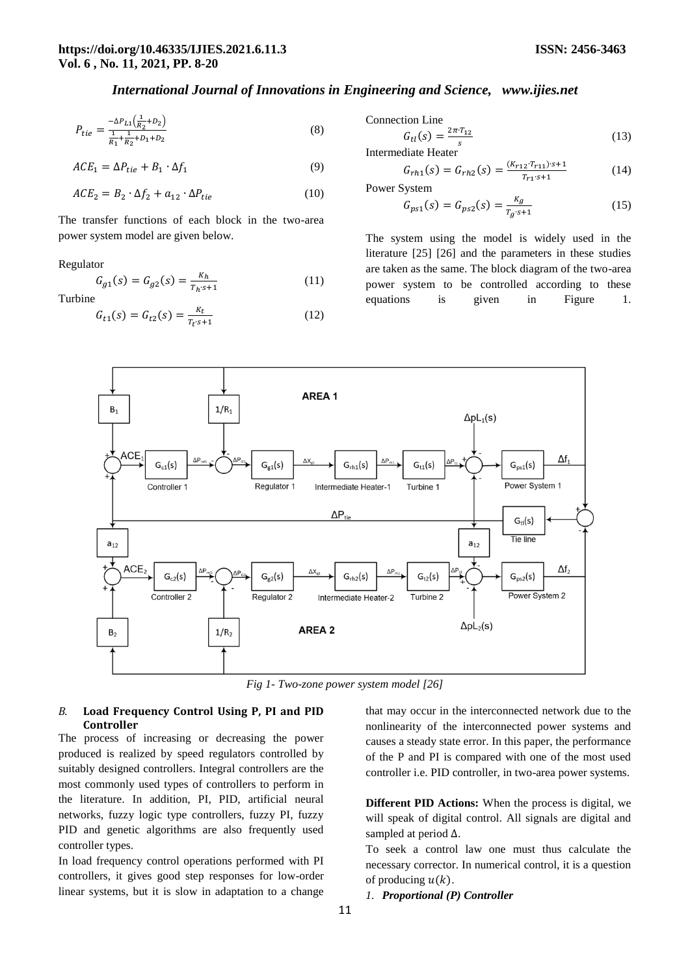$$
P_{tie} = \frac{-\Delta P_{L1}\left(\frac{1}{R_2} + D_2\right)}{\frac{1}{R_1} + \frac{1}{R_2} + D_1 + D_2} \tag{8}
$$

$$
ACE1 = \Delta Ptie + B1 \cdot \Delta f1
$$
 (9)

$$
ACE2 = B2 \cdot \Delta f2 + a12 \cdot \Delta Ptie
$$
 (10)

The transfer functions of each block in the two-area power system model are given below.

#### Regulator

$$
G_{g1}(s) = G_{g2}(s) = \frac{\kappa_h}{\tau_h \cdot s + 1} \tag{11}
$$

Turbine

$$
G_{t1}(s) = G_{t2}(s) = \frac{\kappa_t}{T_t \cdot s + 1} \tag{12}
$$

Connection Line

$$
G_{tl}(s) = \frac{2\pi \cdot T_{12}}{s}
$$
Intermediate Heater (13)

$$
G_{rh1}(s) = G_{rh2}(s) = \frac{(K_{r12} \cdot T_{r11}) \cdot s + 1}{T_{r1} \cdot s + 1} \tag{14}
$$

Power System

$$
G_{ps1}(s) = G_{ps2}(s) = \frac{\kappa_g}{T_g \cdot s + 1} \tag{15}
$$

The system using the model is widely used in the literature [25] [26] and the parameters in these studies are taken as the same. The block diagram of the two-area power system to be controlled according to these equations is given in Figure 1.



*Fig 1- Two-zone power system model [26]*

## *B.* **Load Frequency Control Using P, PI and PID Controller**

The process of increasing or decreasing the power produced is realized by speed regulators controlled by suitably designed controllers. Integral controllers are the most commonly used types of controllers to perform in the literature. In addition, PI, PID, artificial neural networks, fuzzy logic type controllers, fuzzy PI, fuzzy PID and genetic algorithms are also frequently used controller types.

In load frequency control operations performed with PI controllers, it gives good step responses for low-order linear systems, but it is slow in adaptation to a change

that may occur in the interconnected network due to the nonlinearity of the interconnected power systems and causes a steady state error. In this paper, the performance of the P and PI is compared with one of the most used controller i.e. PID controller, in two-area power systems.

**Different PID Actions:** When the process is digital, we will speak of digital control. All signals are digital and sampled at period  $\Delta$ .

To seek a control law one must thus calculate the necessary corrector. In numerical control, it is a question of producing  $u(k)$ .

*1. Proportional (P) Controller*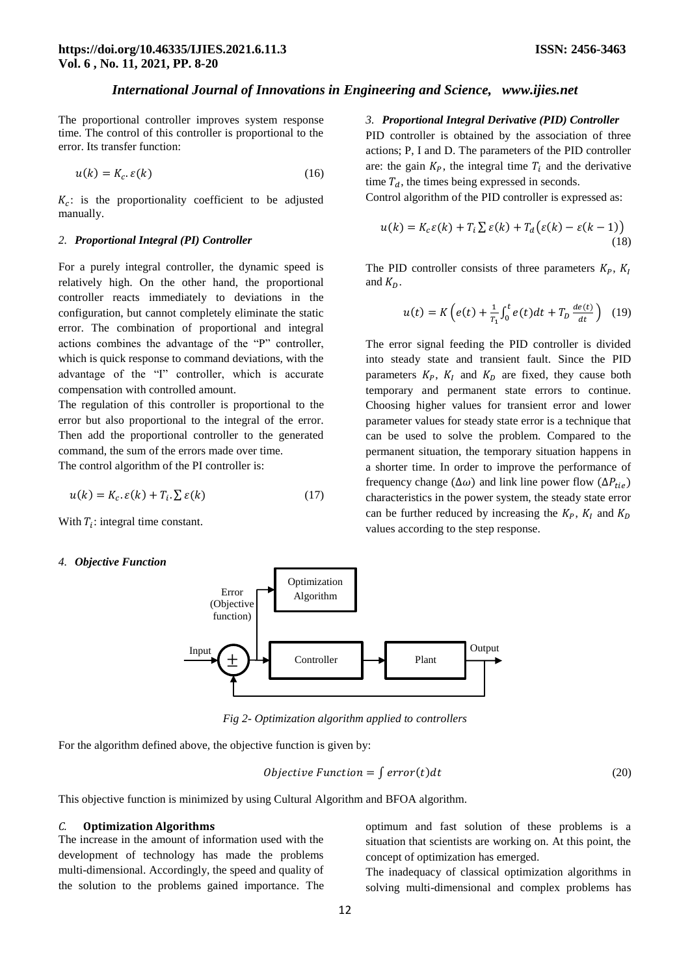The proportional controller improves system response time. The control of this controller is proportional to the error. Its transfer function:

$$
u(k) = K_c \cdot \varepsilon(k) \tag{16}
$$

 $K_c$ : is the proportionality coefficient to be adjusted manually.

#### *2. Proportional Integral (PI) Controller*

For a purely integral controller, the dynamic speed is relatively high. On the other hand, the proportional controller reacts immediately to deviations in the configuration, but cannot completely eliminate the static error. The combination of proportional and integral actions combines the advantage of the "P" controller, which is quick response to command deviations, with the advantage of the "I" controller, which is accurate compensation with controlled amount.

The regulation of this controller is proportional to the error but also proportional to the integral of the error. Then add the proportional controller to the generated command, the sum of the errors made over time. The control algorithm of the PI controller is:

$$
u(k) = K_c. \varepsilon(k) + T_i. \sum \varepsilon(k) \tag{17}
$$

With  $T_i$ : integral time constant.

#### *4. Objective Function*

#### *3. Proportional Integral Derivative (PID) Controller*

PID controller is obtained by the association of three actions; P, I and D. The parameters of the PID controller are: the gain  $K_p$ , the integral time  $T_i$  and the derivative time  $T_d$ , the times being expressed in seconds.

Control algorithm of the PID controller is expressed as:

$$
u(k) = K_c \varepsilon(k) + T_i \sum \varepsilon(k) + T_d \big(\varepsilon(k) - \varepsilon(k-1)\big) \tag{18}
$$

The PID controller consists of three parameters  $K_P$ ,  $K_I$ and  $K_D$ .

$$
u(t) = K\left(e(t) + \frac{1}{T_1} \int_0^t e(t)dt + T_D \frac{de(t)}{dt}\right) (19)
$$

The error signal feeding the PID controller is divided into steady state and transient fault. Since the PID parameters  $K_P$ ,  $K_I$  and  $K_D$  are fixed, they cause both temporary and permanent state errors to continue. Choosing higher values for transient error and lower parameter values for steady state error is a technique that can be used to solve the problem. Compared to the permanent situation, the temporary situation happens in a shorter time. In order to improve the performance of frequency change  $(\Delta \omega)$  and link line power flow  $(\Delta P_{tie})$ characteristics in the power system, the steady state error can be further reduced by increasing the  $K_p$ ,  $K_l$  and  $K_p$ values according to the step response.



*Fig 2- Optimization algorithm applied to controllers*

For the algorithm defined above, the objective function is given by:

$$
Objective Function = \int error(t)dt
$$
\n(20)

This objective function is minimized by using Cultural Algorithm and BFOA algorithm.

#### *C.* **Optimization Algorithms**

The increase in the amount of information used with the development of technology has made the problems multi-dimensional. Accordingly, the speed and quality of the solution to the problems gained importance. The optimum and fast solution of these problems is a situation that scientists are working on. At this point, the concept of optimization has emerged.

The inadequacy of classical optimization algorithms in solving multi-dimensional and complex problems has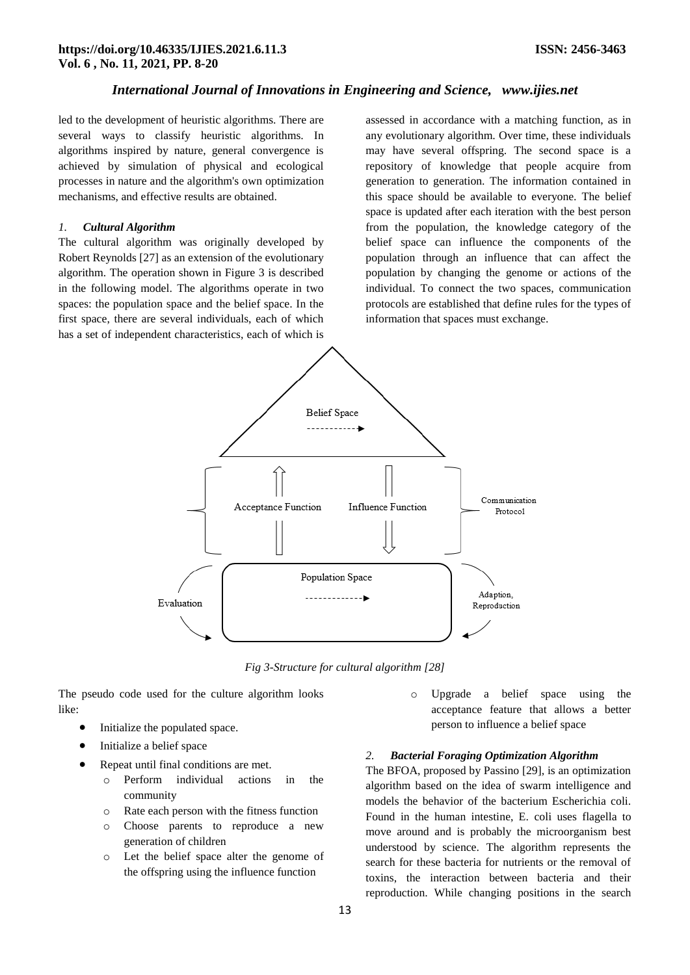led to the development of heuristic algorithms. There are several ways to classify heuristic algorithms. In algorithms inspired by nature, general convergence is achieved by simulation of physical and ecological processes in nature and the algorithm's own optimization mechanisms, and effective results are obtained.

#### *1. Cultural Algorithm*

The cultural algorithm was originally developed by Robert Reynolds [27] as an extension of the evolutionary algorithm. The operation shown in Figure 3 is described in the following model. The algorithms operate in two spaces: the population space and the belief space. In the first space, there are several individuals, each of which has a set of independent characteristics, each of which is

assessed in accordance with a matching function, as in any evolutionary algorithm. Over time, these individuals may have several offspring. The second space is a repository of knowledge that people acquire from generation to generation. The information contained in this space should be available to everyone. The belief space is updated after each iteration with the best person from the population, the knowledge category of the belief space can influence the components of the population through an influence that can affect the population by changing the genome or actions of the individual. To connect the two spaces, communication protocols are established that define rules for the types of information that spaces must exchange.



*Fig 3-Structure for cultural algorithm [28]*

The pseudo code used for the culture algorithm looks like:

- Initialize the populated space.
- Initialize a belief space
- Repeat until final conditions are met.
	- o Perform individual actions in the community
	- o Rate each person with the fitness function
	- o Choose parents to reproduce a new generation of children
	- o Let the belief space alter the genome of the offspring using the influence function

o Upgrade a belief space using the acceptance feature that allows a better person to influence a belief space

#### *2. Bacterial Foraging Optimization Algorithm*

The BFOA, proposed by Passino [29], is an optimization algorithm based on the idea of swarm intelligence and models the behavior of the bacterium Escherichia coli. Found in the human intestine, E. coli uses flagella to move around and is probably the microorganism best understood by science. The algorithm represents the search for these bacteria for nutrients or the removal of toxins, the interaction between bacteria and their reproduction. While changing positions in the search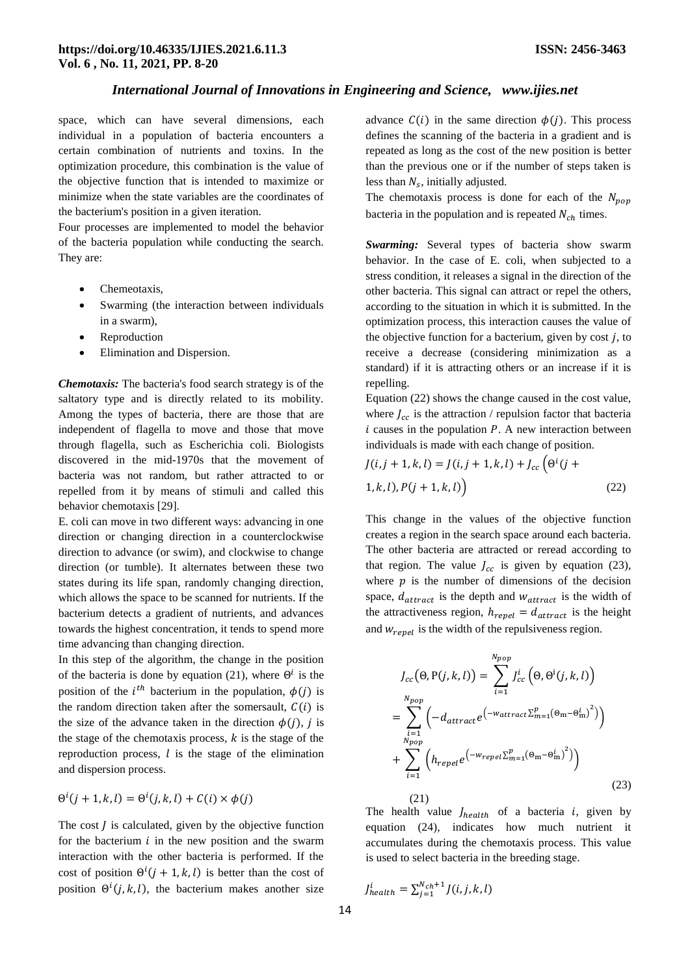space, which can have several dimensions, each individual in a population of bacteria encounters a certain combination of nutrients and toxins. In the optimization procedure, this combination is the value of the objective function that is intended to maximize or minimize when the state variables are the coordinates of the bacterium's position in a given iteration.

Four processes are implemented to model the behavior of the bacteria population while conducting the search. They are:

- Chemeotaxis,
- Swarming (the interaction between individuals in a swarm),
- Reproduction
- Elimination and Dispersion.

*Chemotaxis:* The bacteria's food search strategy is of the saltatory type and is directly related to its mobility. Among the types of bacteria, there are those that are independent of flagella to move and those that move through flagella, such as Escherichia coli. Biologists discovered in the mid-1970s that the movement of bacteria was not random, but rather attracted to or repelled from it by means of stimuli and called this behavior chemotaxis [29].

E. coli can move in two different ways: advancing in one direction or changing direction in a counterclockwise direction to advance (or swim), and clockwise to change direction (or tumble). It alternates between these two states during its life span, randomly changing direction, which allows the space to be scanned for nutrients. If the bacterium detects a gradient of nutrients, and advances towards the highest concentration, it tends to spend more time advancing than changing direction.

In this step of the algorithm, the change in the position of the bacteria is done by equation (21), where  $\Theta^i$  is the position of the  $i^{th}$  bacterium in the population,  $\phi(j)$  is the random direction taken after the somersault,  $C(i)$  is the size of the advance taken in the direction  $\phi(j)$ , j is the stage of the chemotaxis process,  $k$  is the stage of the reproduction process,  $l$  is the stage of the elimination and dispersion process.

$$
\Theta^{i}(j+1,k,l) = \Theta^{i}(j,k,l) + C(i) \times \phi(j)
$$
\n(21)

The cost  *is calculated, given by the objective function* for the bacterium  $i$  in the new position and the swarm interaction with the other bacteria is performed. If the cost of position  $\Theta^{i}(j + 1, k, l)$  is better than the cost of position  $\Theta^i(j,k,l)$ , the bacterium makes another size advance  $C(i)$  in the same direction  $\phi(j)$ . This process defines the scanning of the bacteria in a gradient and is repeated as long as the cost of the new position is better than the previous one or if the number of steps taken is less than  $N_s$ , initially adjusted.

The chemotaxis process is done for each of the  $N_{non}$ bacteria in the population and is repeated  $N_{ch}$  times.

*Swarming:* Several types of bacteria show swarm behavior. In the case of E. coli, when subjected to a stress condition, it releases a signal in the direction of the other bacteria. This signal can attract or repel the others, according to the situation in which it is submitted. In the optimization process, this interaction causes the value of the objective function for a bacterium, given by cost  $j$ , to receive a decrease (considering minimization as a standard) if it is attracting others or an increase if it is repelling.

Equation (22) shows the change caused in the cost value, where  $I_{cc}$  is the attraction / repulsion factor that bacteria  $i$  causes in the population  $P$ . A new interaction between individuals is made with each change of position.

$$
J(i, j + 1, k, l) = J(i, j + 1, k, l) + J_{cc} \left(\Theta^{i}(j + 1, k, l), P(j + 1, k, l)\right)
$$
\n(22)

This change in the values of the objective function creates a region in the search space around each bacteria. The other bacteria are attracted or reread according to that region. The value  $J_{cc}$  is given by equation (23), where  $p$  is the number of dimensions of the decision space,  $d_{attract}$  is the depth and  $w_{attract}$  is the width of the attractiveness region,  $h_{repel} = d_{attract}$  is the height and  $w_{repel}$  is the width of the repulsiveness region.

$$
J_{cc}(\Theta, P(j, k, l)) = \sum_{i=1}^{N_{pop}} J_{cc}^{i}(\Theta, \Theta^{i}(j, k, l))
$$
  
= 
$$
\sum_{i=1}^{N_{pop}} \left( -d_{attract} e^{-\text{Wattract} \Sigma_{m=1}^{p}(\Theta_{m} - \Theta_{m}^{i})^{2}}) \right)
$$
  
+ 
$$
\sum_{i=1}^{N_{pop}} \left( h_{repel} e^{-\text{Wrepel} \Sigma_{m=1}^{p}(\Theta_{m} - \Theta_{m}^{i})^{2}}) \right)
$$
(23)

The health value  $J_{health}$  of a bacteria *i*, given by equation (24), indicates how much nutrient it accumulates during the chemotaxis process. This value is used to select bacteria in the breeding stage.

$$
J_{health}^i = \sum_{j=1}^{N_{ch}+1} J(i, j, k, l)
$$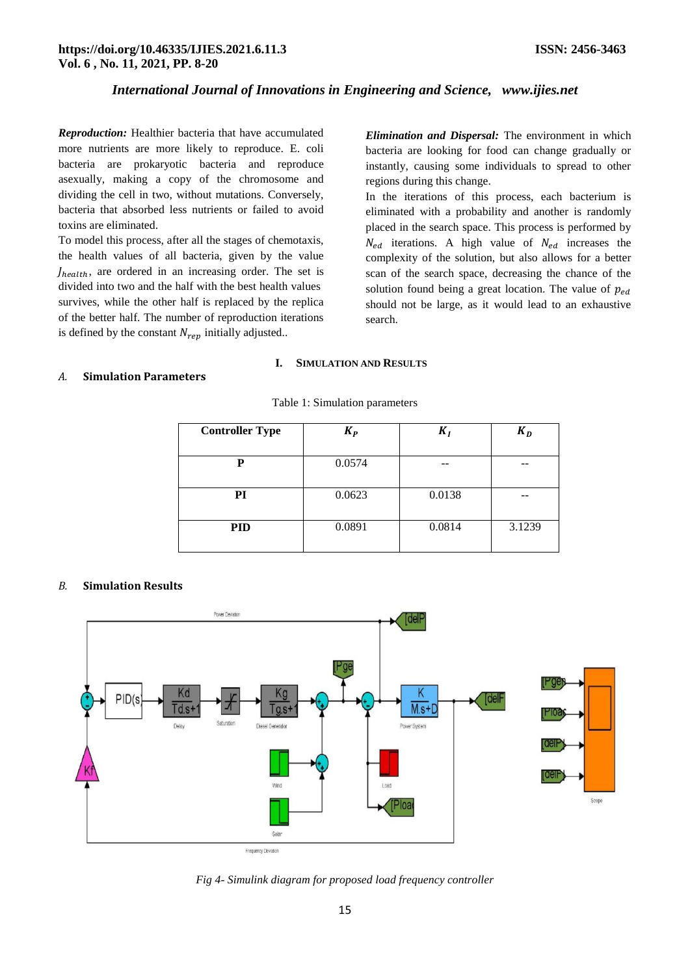*Reproduction:* Healthier bacteria that have accumulated more nutrients are more likely to reproduce. E. coli bacteria are prokaryotic bacteria and reproduce asexually, making a copy of the chromosome and dividing the cell in two, without mutations. Conversely, bacteria that absorbed less nutrients or failed to avoid toxins are eliminated.

To model this process, after all the stages of chemotaxis, the health values of all bacteria, given by the value  $J_{health}$ , are ordered in an increasing order. The set is divided into two and the half with the best health values survives, while the other half is replaced by the replica of the better half. The number of reproduction iterations is defined by the constant  $N_{rep}$  initially adjusted..

*Elimination and Dispersal:* The environment in which bacteria are looking for food can change gradually or instantly, causing some individuals to spread to other regions during this change.

In the iterations of this process, each bacterium is eliminated with a probability and another is randomly placed in the search space. This process is performed by  $N_{ed}$  iterations. A high value of  $N_{ed}$  increases the complexity of the solution, but also allows for a better scan of the search space, decreasing the chance of the solution found being a great location. The value of  $p_{ed}$ should not be large, as it would lead to an exhaustive search.

## **I. SIMULATION AND RESULTS**

Table 1: Simulation parameters

#### *A.* **Simulation Parameters**

| <b>Controller Type</b> | $K_P$  | $K_I$  | $K_D$  |
|------------------------|--------|--------|--------|
| P                      | 0.0574 |        |        |
| PI                     | 0.0623 | 0.0138 |        |
| <b>PID</b>             | 0.0891 | 0.0814 | 3.1239 |

# *B.* **Simulation Results**



*Fig 4- Simulink diagram for proposed load frequency controller*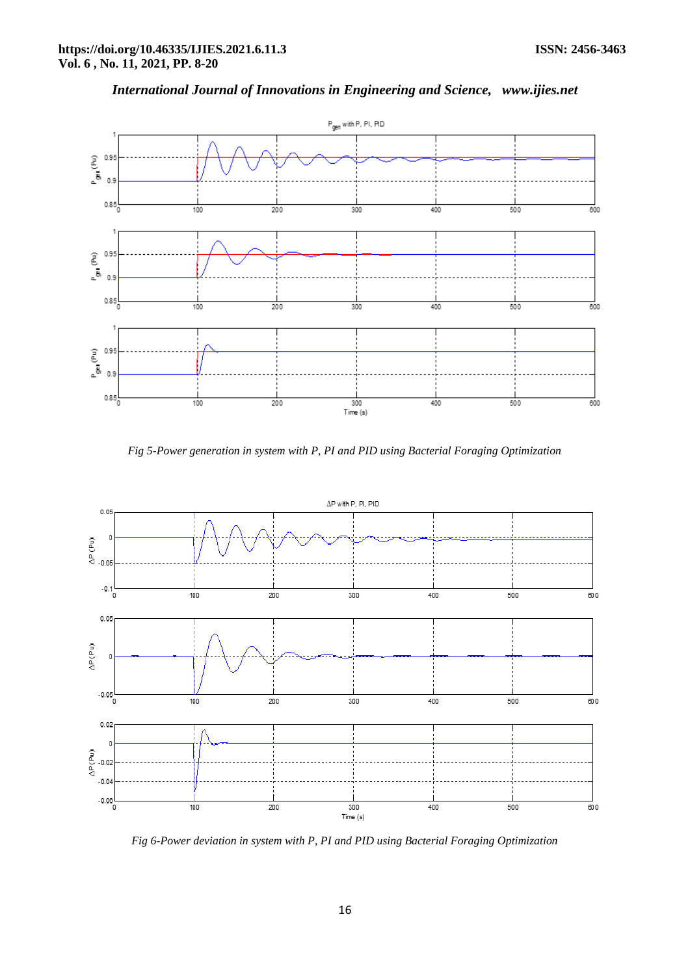

*Fig 5-Power generation in system with P, PI and PID using Bacterial Foraging Optimization* 



*Fig 6-Power deviation in system with P, PI and PID using Bacterial Foraging Optimization*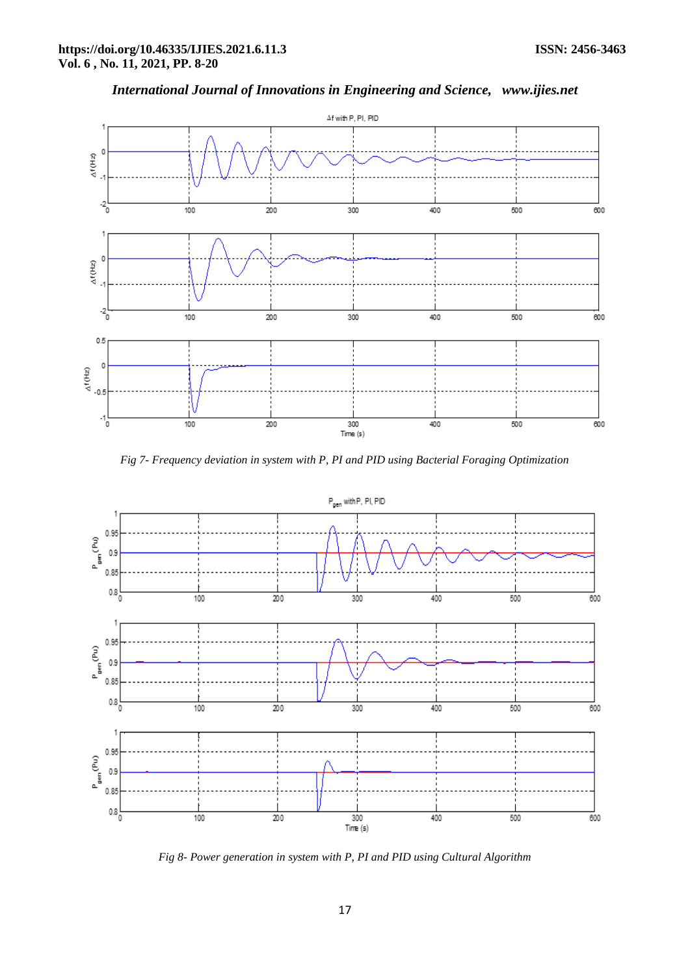

*Fig 7- Frequency deviation in system with P, PI and PID using Bacterial Foraging Optimization*



*Fig 8- Power generation in system with P, PI and PID using Cultural Algorithm*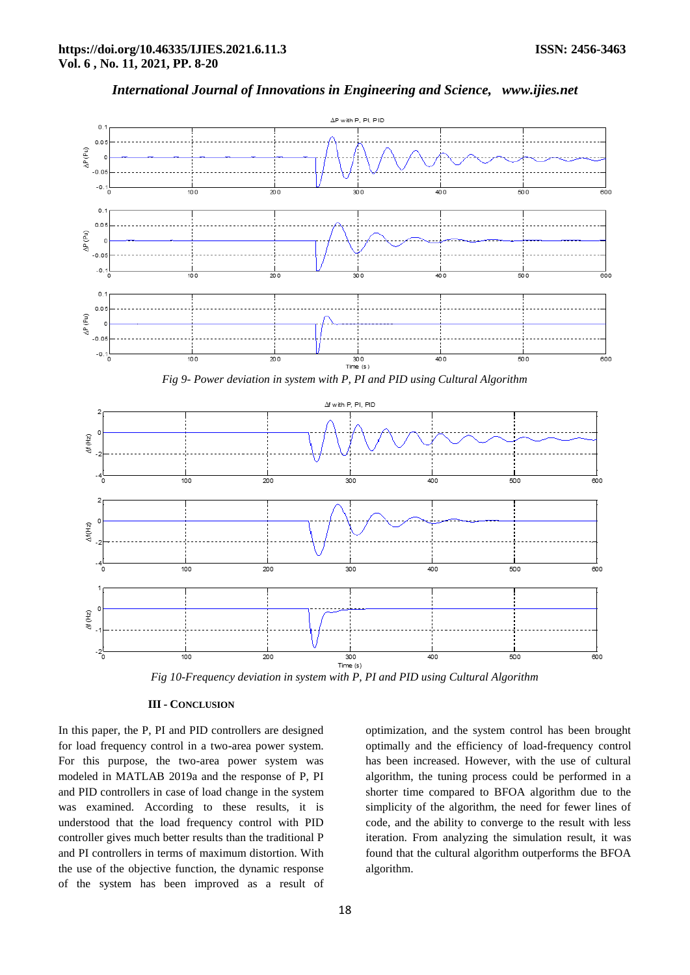



*Fig 10-Frequency deviation in system with P, PI and PID using Cultural Algorithm*

## **III - CONCLUSION**

In this paper, the P, PI and PID controllers are designed for load frequency control in a two-area power system. For this purpose, the two-area power system was modeled in MATLAB 2019a and the response of P, PI and PID controllers in case of load change in the system was examined. According to these results, it is understood that the load frequency control with PID controller gives much better results than the traditional P and PI controllers in terms of maximum distortion. With the use of the objective function, the dynamic response of the system has been improved as a result of optimization, and the system control has been brought optimally and the efficiency of load-frequency control has been increased. However, with the use of cultural algorithm, the tuning process could be performed in a shorter time compared to BFOA algorithm due to the simplicity of the algorithm, the need for fewer lines of code, and the ability to converge to the result with less iteration. From analyzing the simulation result, it was found that the cultural algorithm outperforms the BFOA algorithm.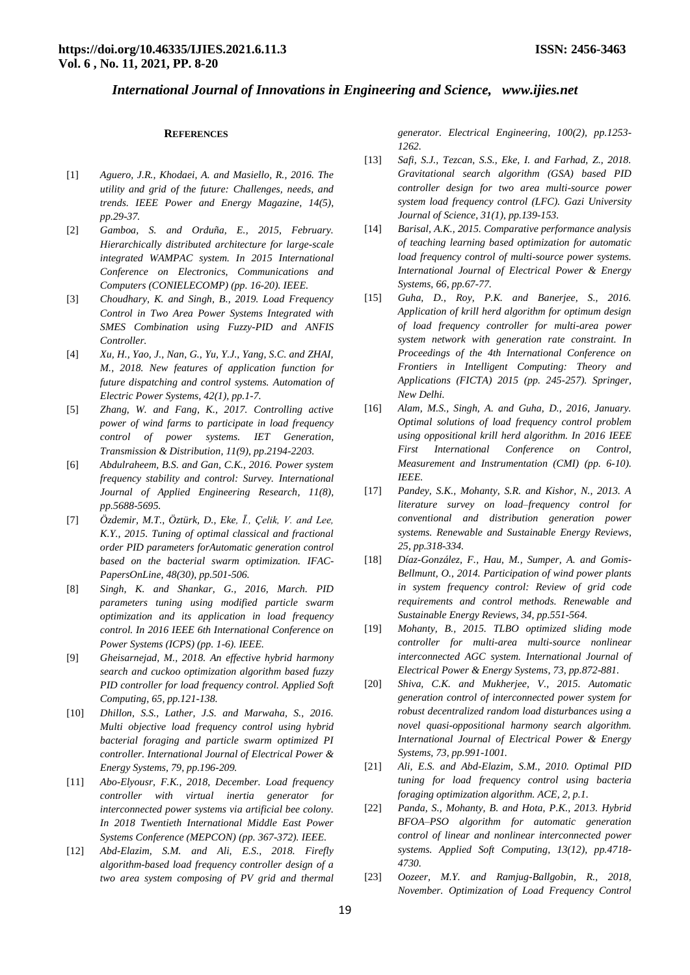## **REFERENCES**

- [1] *Aguero, J.R., Khodaei, A. and Masiello, R., 2016. The utility and grid of the future: Challenges, needs, and trends. IEEE Power and Energy Magazine, 14(5), pp.29-37.*
- [2] *Gamboa, S. and Orduña, E., 2015, February. Hierarchically distributed architecture for large-scale integrated WAMPAC system. In 2015 International Conference on Electronics, Communications and Computers (CONIELECOMP) (pp. 16-20). IEEE.*
- [3] *Choudhary, K. and Singh, B., 2019. Load Frequency Control in Two Area Power Systems Integrated with SMES Combination using Fuzzy-PID and ANFIS Controller.*
- [4] *Xu, H., Yao, J., Nan, G., Yu, Y.J., Yang, S.C. and ZHAI, M., 2018. New features of application function for future dispatching and control systems. Automation of Electric Power Systems, 42(1), pp.1-7.*
- [5] *Zhang, W. and Fang, K., 2017. Controlling active power of wind farms to participate in load frequency control of power systems. IET Generation, Transmission & Distribution, 11(9), pp.2194-2203.*
- [6] *Abdulraheem, B.S. and Gan, C.K., 2016. Power system frequency stability and control: Survey. International Journal of Applied Engineering Research, 11(8), pp.5688-5695.*
- [7] *Özdemir, M.T., Öztürk, D., Eke, Ī., Çelik, V. and Lee, K.Y., 2015. Tuning of optimal classical and fractional order PID parameters forAutomatic generation control based on the bacterial swarm optimization. IFAC-PapersOnLine, 48(30), pp.501-506.*
- [8] *Singh, K. and Shankar, G., 2016, March. PID parameters tuning using modified particle swarm optimization and its application in load frequency control. In 2016 IEEE 6th International Conference on Power Systems (ICPS) (pp. 1-6). IEEE.*
- [9] *Gheisarnejad, M., 2018. An effective hybrid harmony search and cuckoo optimization algorithm based fuzzy PID controller for load frequency control. Applied Soft Computing, 65, pp.121-138.*
- [10] *Dhillon, S.S., Lather, J.S. and Marwaha, S., 2016. Multi objective load frequency control using hybrid bacterial foraging and particle swarm optimized PI controller. International Journal of Electrical Power & Energy Systems, 79, pp.196-209.*
- [11] *Abo-Elyousr, F.K., 2018, December. Load frequency controller with virtual inertia generator for interconnected power systems via artificial bee colony. In 2018 Twentieth International Middle East Power Systems Conference (MEPCON) (pp. 367-372). IEEE.*
- [12] *Abd-Elazim, S.M. and Ali, E.S., 2018. Firefly algorithm-based load frequency controller design of a two area system composing of PV grid and thermal*

*generator. Electrical Engineering, 100(2), pp.1253- 1262.*

- [13] *Safi, S.J., Tezcan, S.S., Eke, I. and Farhad, Z., 2018. Gravitational search algorithm (GSA) based PID controller design for two area multi-source power system load frequency control (LFC). Gazi University Journal of Science, 31(1), pp.139-153.*
- [14] *Barisal, A.K., 2015. Comparative performance analysis of teaching learning based optimization for automatic load frequency control of multi-source power systems. International Journal of Electrical Power & Energy Systems, 66, pp.67-77.*
- [15] *Guha, D., Roy, P.K. and Banerjee, S., 2016. Application of krill herd algorithm for optimum design of load frequency controller for multi-area power system network with generation rate constraint. In Proceedings of the 4th International Conference on Frontiers in Intelligent Computing: Theory and Applications (FICTA) 2015 (pp. 245-257). Springer, New Delhi.*
- [16] *Alam, M.S., Singh, A. and Guha, D., 2016, January. Optimal solutions of load frequency control problem using oppositional krill herd algorithm. In 2016 IEEE First International Conference on Control, Measurement and Instrumentation (CMI) (pp. 6-10). IEEE.*
- [17] *Pandey, S.K., Mohanty, S.R. and Kishor, N., 2013. A literature survey on load–frequency control for conventional and distribution generation power systems. Renewable and Sustainable Energy Reviews, 25, pp.318-334.*
- [18] *Díaz-González, F., Hau, M., Sumper, A. and Gomis-Bellmunt, O., 2014. Participation of wind power plants in system frequency control: Review of grid code requirements and control methods. Renewable and Sustainable Energy Reviews, 34, pp.551-564.*
- [19] *Mohanty, B., 2015. TLBO optimized sliding mode controller for multi-area multi-source nonlinear interconnected AGC system. International Journal of Electrical Power & Energy Systems, 73, pp.872-881.*
- [20] *Shiva, C.K. and Mukherjee, V., 2015. Automatic generation control of interconnected power system for robust decentralized random load disturbances using a novel quasi-oppositional harmony search algorithm. International Journal of Electrical Power & Energy Systems, 73, pp.991-1001.*
- [21] *Ali, E.S. and Abd-Elazim, S.M., 2010. Optimal PID tuning for load frequency control using bacteria foraging optimization algorithm. ACE, 2, p.1.*
- [22] *Panda, S., Mohanty, B. and Hota, P.K., 2013. Hybrid BFOA–PSO algorithm for automatic generation control of linear and nonlinear interconnected power systems. Applied Soft Computing, 13(12), pp.4718- 4730.*
- [23] *Oozeer, M.Y. and Ramjug-Ballgobin, R., 2018, November. Optimization of Load Frequency Control*